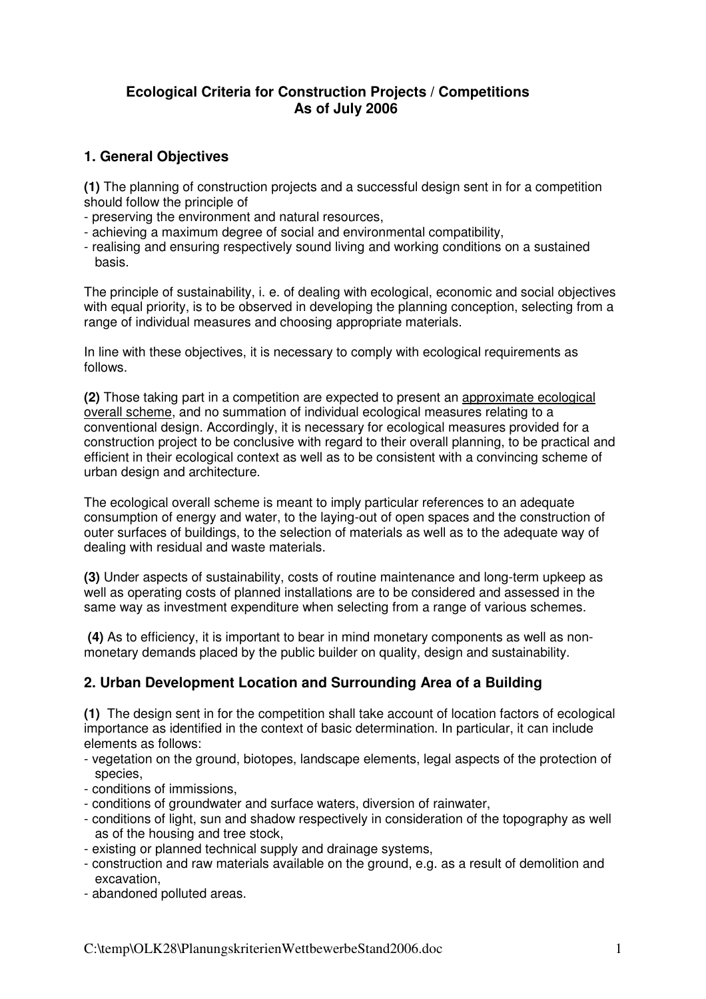## **Ecological Criteria for Construction Projects / Competitions As of July 2006**

## **1. General Objectives**

**(1)** The planning of construction projects and a successful design sent in for a competition should follow the principle of

- preserving the environment and natural resources,
- achieving a maximum degree of social and environmental compatibility,
- realising and ensuring respectively sound living and working conditions on a sustained basis.

The principle of sustainability, i. e. of dealing with ecological, economic and social objectives with equal priority, is to be observed in developing the planning conception, selecting from a range of individual measures and choosing appropriate materials.

In line with these objectives, it is necessary to comply with ecological requirements as follows.

**(2)** Those taking part in a competition are expected to present an approximate ecological overall scheme, and no summation of individual ecological measures relating to a conventional design. Accordingly, it is necessary for ecological measures provided for a construction project to be conclusive with regard to their overall planning, to be practical and efficient in their ecological context as well as to be consistent with a convincing scheme of urban design and architecture.

The ecological overall scheme is meant to imply particular references to an adequate consumption of energy and water, to the laying-out of open spaces and the construction of outer surfaces of buildings, to the selection of materials as well as to the adequate way of dealing with residual and waste materials.

**(3)** Under aspects of sustainability, costs of routine maintenance and long-term upkeep as well as operating costs of planned installations are to be considered and assessed in the same way as investment expenditure when selecting from a range of various schemes.

 **(4)** As to efficiency, it is important to bear in mind monetary components as well as nonmonetary demands placed by the public builder on quality, design and sustainability.

## **2. Urban Development Location and Surrounding Area of a Building**

**(1)** The design sent in for the competition shall take account of location factors of ecological importance as identified in the context of basic determination. In particular, it can include elements as follows:

- vegetation on the ground, biotopes, landscape elements, legal aspects of the protection of species,
- conditions of immissions,
- conditions of groundwater and surface waters, diversion of rainwater,
- conditions of light, sun and shadow respectively in consideration of the topography as well as of the housing and tree stock,
- existing or planned technical supply and drainage systems,
- construction and raw materials available on the ground, e.g. as a result of demolition and excavation,
- abandoned polluted areas.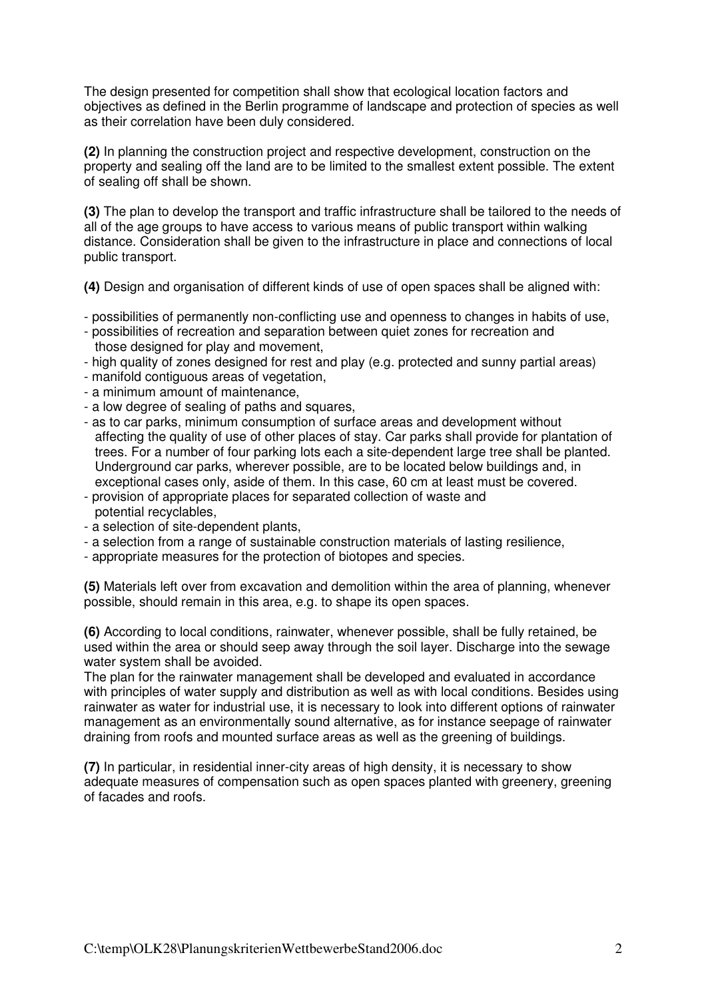The design presented for competition shall show that ecological location factors and objectives as defined in the Berlin programme of landscape and protection of species as well as their correlation have been duly considered.

**(2)** In planning the construction project and respective development, construction on the property and sealing off the land are to be limited to the smallest extent possible. The extent of sealing off shall be shown.

**(3)** The plan to develop the transport and traffic infrastructure shall be tailored to the needs of all of the age groups to have access to various means of public transport within walking distance. Consideration shall be given to the infrastructure in place and connections of local public transport.

**(4)** Design and organisation of different kinds of use of open spaces shall be aligned with:

- possibilities of permanently non-conflicting use and openness to changes in habits of use,
- possibilities of recreation and separation between quiet zones for recreation and those designed for play and movement,
- high quality of zones designed for rest and play (e.g. protected and sunny partial areas)
- manifold contiguous areas of vegetation,
- a minimum amount of maintenance,
- a low degree of sealing of paths and squares,
- as to car parks, minimum consumption of surface areas and development without affecting the quality of use of other places of stay. Car parks shall provide for plantation of trees. For a number of four parking lots each a site-dependent large tree shall be planted. Underground car parks, wherever possible, are to be located below buildings and, in exceptional cases only, aside of them. In this case, 60 cm at least must be covered.
- provision of appropriate places for separated collection of waste and potential recyclables,
- a selection of site-dependent plants,
- a selection from a range of sustainable construction materials of lasting resilience,
- appropriate measures for the protection of biotopes and species.

**(5)** Materials left over from excavation and demolition within the area of planning, whenever possible, should remain in this area, e.g. to shape its open spaces.

**(6)** According to local conditions, rainwater, whenever possible, shall be fully retained, be used within the area or should seep away through the soil layer. Discharge into the sewage water system shall be avoided.

The plan for the rainwater management shall be developed and evaluated in accordance with principles of water supply and distribution as well as with local conditions. Besides using rainwater as water for industrial use, it is necessary to look into different options of rainwater management as an environmentally sound alternative, as for instance seepage of rainwater draining from roofs and mounted surface areas as well as the greening of buildings.

**(7)** In particular, in residential inner-city areas of high density, it is necessary to show adequate measures of compensation such as open spaces planted with greenery, greening of facades and roofs.